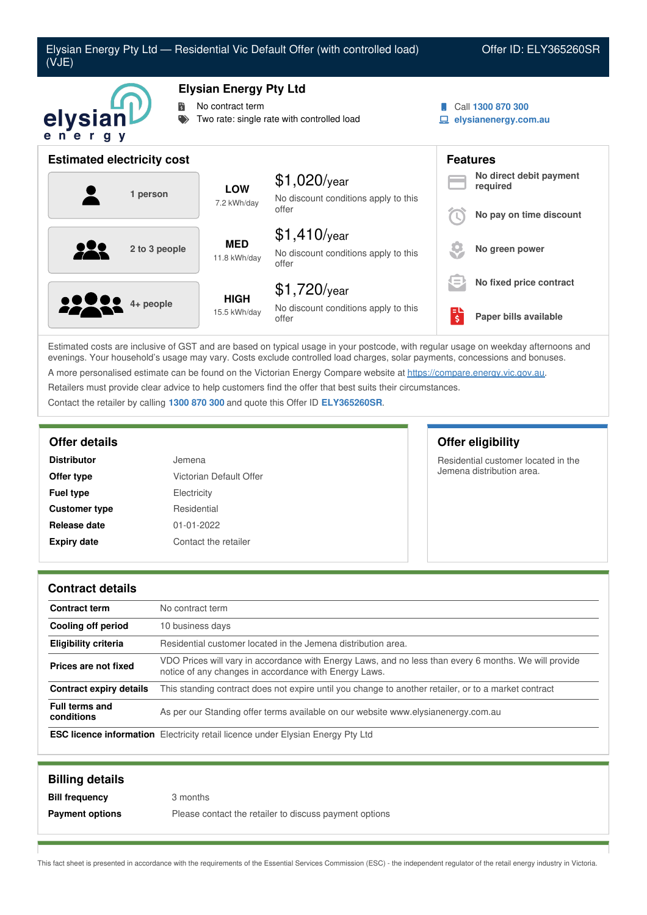

Estimated costs are inclusive of GST and are based on typical usage in your postcode, with regular usage on weekday afternoons and evenings. Your household's usage may vary. Costs exclude controlled load charges, solar payments, concessions and bonuses. A more personalised estimate can be found on the Victorian Energy Compare website at <https://compare.energy.vic.gov.au>. Retailers must provide clear advice to help customers find the offer that best suits their circumstances. Contact the retailer by calling **1300 870 300** and quote this Offer ID **ELY365260SR**.

| <b>Distributor</b>   | Jemena                  |
|----------------------|-------------------------|
| Offer type           | Victorian Default Offer |
| <b>Fuel type</b>     | Electricity             |
| <b>Customer type</b> | Residential             |
| Release date         | $01 - 01 - 2022$        |
| <b>Expiry date</b>   | Contact the retailer    |

### **Offer details Offer eligibility**

Residential customer located in the Jemena distribution area.

### **Contract details**

| <b>Contract term</b>                | No contract term                                                                                                                                               |
|-------------------------------------|----------------------------------------------------------------------------------------------------------------------------------------------------------------|
| <b>Cooling off period</b>           | 10 business days                                                                                                                                               |
| <b>Eligibility criteria</b>         | Residential customer located in the Jemena distribution area.                                                                                                  |
| Prices are not fixed                | VDO Prices will vary in accordance with Energy Laws, and no less than every 6 months. We will provide<br>notice of any changes in accordance with Energy Laws. |
| Contract expiry details             | This standing contract does not expire until you change to another retailer, or to a market contract                                                           |
| <b>Full terms and</b><br>conditions | As per our Standing offer terms available on our website www.elysianenergy.com.au                                                                              |
|                                     | <b>ESC licence information</b> Electricity retail licence under Elysian Energy Pty Ltd                                                                         |

| <b>Billing details</b> |                                                        |
|------------------------|--------------------------------------------------------|
| <b>Bill frequency</b>  | 3 months                                               |
| <b>Payment options</b> | Please contact the retailer to discuss payment options |